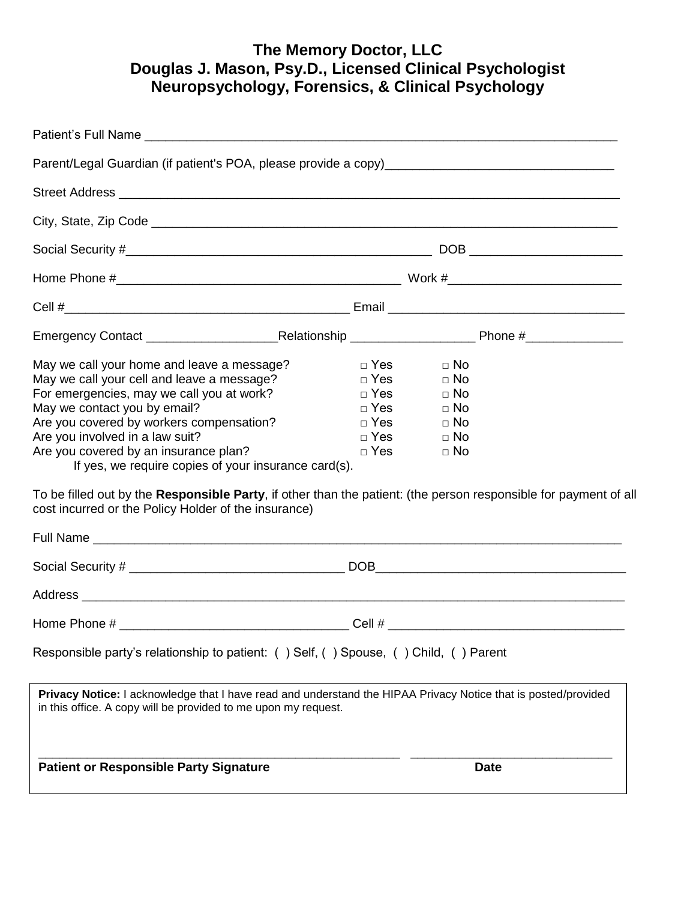# **The Memory Doctor, LLC Douglas J. Mason, Psy.D., Licensed Clinical Psychologist Neuropsychology, Forensics, & Clinical Psychology**

| May we call your home and leave a message?<br>May we call your cell and leave a message?<br>For emergencies, may we call you at work?<br>May we contact you by email?<br>Are you covered by workers compensation?<br>Are you involved in a law suit?<br>Are you covered by an insurance plan?<br>If yes, we require copies of your insurance card(s).<br>cost incurred or the Policy Holder of the insurance) | □ Yes<br>$\Box$ No<br>$\Box$ Yes<br>$\Box$ No<br>□ Yes<br>$\Box$ No<br>□ Yes<br>$\Box$ No<br>$\Box$ Yes<br>$\Box$ No<br>□ Yes<br>$\Box$ No<br>$\Box$ Yes<br>$\Box$ No<br>To be filled out by the Responsible Party, if other than the patient: (the person responsible for payment of all |
|---------------------------------------------------------------------------------------------------------------------------------------------------------------------------------------------------------------------------------------------------------------------------------------------------------------------------------------------------------------------------------------------------------------|-------------------------------------------------------------------------------------------------------------------------------------------------------------------------------------------------------------------------------------------------------------------------------------------|
|                                                                                                                                                                                                                                                                                                                                                                                                               |                                                                                                                                                                                                                                                                                           |
|                                                                                                                                                                                                                                                                                                                                                                                                               |                                                                                                                                                                                                                                                                                           |
|                                                                                                                                                                                                                                                                                                                                                                                                               |                                                                                                                                                                                                                                                                                           |
| Responsible party's relationship to patient: () Self, () Spouse, () Child, () Parent                                                                                                                                                                                                                                                                                                                          |                                                                                                                                                                                                                                                                                           |
| in this office. A copy will be provided to me upon my request.                                                                                                                                                                                                                                                                                                                                                | Privacy Notice: I acknowledge that I have read and understand the HIPAA Privacy Notice that is posted/provided                                                                                                                                                                            |
| <b>Patient or Responsible Party Signature</b>                                                                                                                                                                                                                                                                                                                                                                 | <b>Date</b>                                                                                                                                                                                                                                                                               |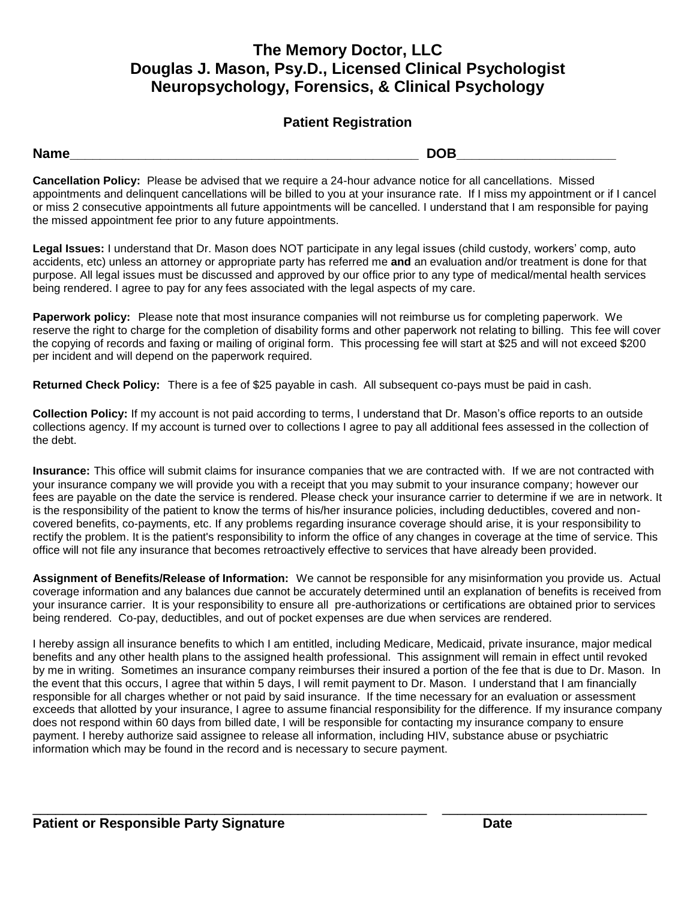## **The Memory Doctor, LLC Douglas J. Mason, Psy.D., Licensed Clinical Psychologist Neuropsychology, Forensics, & Clinical Psychology**

### **Patient Registration**

**Name\_\_\_\_\_\_\_\_\_\_\_\_\_\_\_\_\_\_\_\_\_\_\_\_\_\_\_\_\_\_\_\_\_\_\_\_\_\_\_\_\_\_\_\_\_\_ DOB\_\_\_\_\_\_\_\_\_\_\_\_\_\_\_\_\_\_\_\_\_**

**Cancellation Policy:** Please be advised that we require a 24-hour advance notice for all cancellations. Missed appointments and delinquent cancellations will be billed to you at your insurance rate. If I miss my appointment or if I cancel or miss 2 consecutive appointments all future appointments will be cancelled. I understand that I am responsible for paying the missed appointment fee prior to any future appointments.

**Legal Issues:** I understand that Dr. Mason does NOT participate in any legal issues (child custody, workers' comp, auto accidents, etc) unless an attorney or appropriate party has referred me **and** an evaluation and/or treatment is done for that purpose. All legal issues must be discussed and approved by our office prior to any type of medical/mental health services being rendered. I agree to pay for any fees associated with the legal aspects of my care.

Paperwork policy: Please note that most insurance companies will not reimburse us for completing paperwork. We reserve the right to charge for the completion of disability forms and other paperwork not relating to billing. This fee will cover the copying of records and faxing or mailing of original form. This processing fee will start at \$25 and will not exceed \$200 per incident and will depend on the paperwork required.

**Returned Check Policy:** There is a fee of \$25 payable in cash. All subsequent co-pays must be paid in cash.

**Collection Policy:** If my account is not paid according to terms, I understand that Dr. Mason's office reports to an outside collections agency. If my account is turned over to collections I agree to pay all additional fees assessed in the collection of the debt.

**Insurance:** This office will submit claims for insurance companies that we are contracted with. If we are not contracted with your insurance company we will provide you with a receipt that you may submit to your insurance company; however our fees are payable on the date the service is rendered. Please check your insurance carrier to determine if we are in network. It is the responsibility of the patient to know the terms of his/her insurance policies, including deductibles, covered and noncovered benefits, co-payments, etc. If any problems regarding insurance coverage should arise, it is your responsibility to rectify the problem. It is the patient's responsibility to inform the office of any changes in coverage at the time of service. This office will not file any insurance that becomes retroactively effective to services that have already been provided.

**Assignment of Benefits/Release of Information:** We cannot be responsible for any misinformation you provide us. Actual coverage information and any balances due cannot be accurately determined until an explanation of benefits is received from your insurance carrier. It is your responsibility to ensure all pre-authorizations or certifications are obtained prior to services being rendered. Co-pay, deductibles, and out of pocket expenses are due when services are rendered.

I hereby assign all insurance benefits to which I am entitled, including Medicare, Medicaid, private insurance, major medical benefits and any other health plans to the assigned health professional. This assignment will remain in effect until revoked by me in writing. Sometimes an insurance company reimburses their insured a portion of the fee that is due to Dr. Mason. In the event that this occurs, I agree that within 5 days, I will remit payment to Dr. Mason. I understand that I am financially responsible for all charges whether or not paid by said insurance. If the time necessary for an evaluation or assessment exceeds that allotted by your insurance, I agree to assume financial responsibility for the difference. If my insurance company does not respond within 60 days from billed date, I will be responsible for contacting my insurance company to ensure payment. I hereby authorize said assignee to release all information, including HIV, substance abuse or psychiatric information which may be found in the record and is necessary to secure payment.

\_\_\_\_\_\_\_\_\_\_\_\_\_\_\_\_\_\_\_\_\_\_\_\_\_\_\_\_\_\_\_\_\_\_\_\_\_\_\_\_\_\_\_\_\_\_\_\_\_\_\_\_ \_\_\_\_\_\_\_\_\_\_\_\_\_\_\_\_\_\_\_\_\_\_\_\_\_\_\_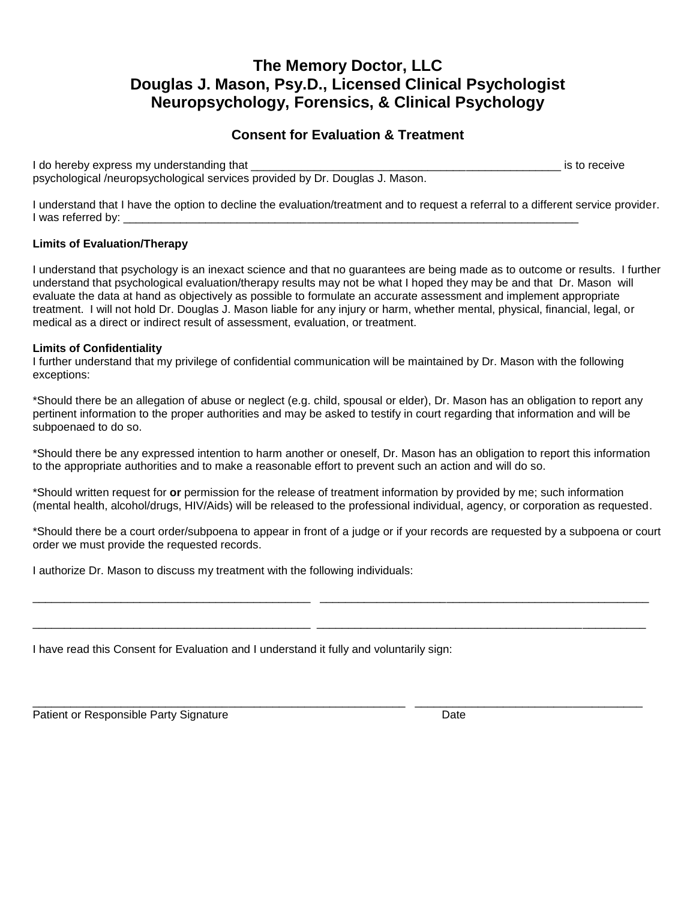## **The Memory Doctor, LLC Douglas J. Mason, Psy.D., Licensed Clinical Psychologist Neuropsychology, Forensics, & Clinical Psychology**

### **Consent for Evaluation & Treatment**

I do hereby express my understanding that  $\Box$ psychological /neuropsychological services provided by Dr. Douglas J. Mason.

I understand that I have the option to decline the evaluation/treatment and to request a referral to a different service provider. I was referred by:

#### **Limits of Evaluation/Therapy**

I understand that psychology is an inexact science and that no guarantees are being made as to outcome or results. I further understand that psychological evaluation/therapy results may not be what I hoped they may be and that Dr. Mason will evaluate the data at hand as objectively as possible to formulate an accurate assessment and implement appropriate treatment. I will not hold Dr. Douglas J. Mason liable for any injury or harm, whether mental, physical, financial, legal, or medical as a direct or indirect result of assessment, evaluation, or treatment.

#### **Limits of Confidentiality**

I further understand that my privilege of confidential communication will be maintained by Dr. Mason with the following exceptions:

\*Should there be an allegation of abuse or neglect (e.g. child, spousal or elder), Dr. Mason has an obligation to report any pertinent information to the proper authorities and may be asked to testify in court regarding that information and will be subpoenaed to do so.

\*Should there be any expressed intention to harm another or oneself, Dr. Mason has an obligation to report this information to the appropriate authorities and to make a reasonable effort to prevent such an action and will do so.

\*Should written request for **or** permission for the release of treatment information by provided by me; such information (mental health, alcohol/drugs, HIV/Aids) will be released to the professional individual, agency, or corporation as requested.

\*Should there be a court order/subpoena to appear in front of a judge or if your records are requested by a subpoena or court order we must provide the requested records.

\_\_\_\_\_\_\_\_\_\_\_\_\_\_\_\_\_\_\_\_\_\_\_\_\_\_\_\_\_\_\_\_\_\_\_\_\_\_\_\_\_\_\_\_ \_\_\_\_\_\_\_\_\_\_\_\_\_\_\_\_\_\_\_\_\_\_\_\_\_\_\_\_\_\_\_\_\_\_\_\_\_\_\_\_\_\_\_\_\_\_\_\_\_\_\_\_

\_\_\_\_\_\_\_\_\_\_\_\_\_\_\_\_\_\_\_\_\_\_\_\_\_\_\_\_\_\_\_\_\_\_\_\_\_\_\_\_\_\_\_\_ \_\_\_\_\_\_\_\_\_\_\_\_\_\_\_\_\_\_\_\_\_\_\_\_\_\_\_\_\_\_\_\_\_\_\_\_\_\_\_\_\_\_\_\_\_\_\_\_\_\_\_\_

\_\_\_\_\_\_\_\_\_\_\_\_\_\_\_\_\_\_\_\_\_\_\_\_\_\_\_\_\_\_\_\_\_\_\_\_\_\_\_\_\_\_\_\_\_\_\_\_\_\_\_\_\_\_\_\_\_\_\_ \_\_\_\_\_\_\_\_\_\_\_\_\_\_\_\_\_\_\_\_\_\_\_\_\_\_\_\_\_\_\_\_\_\_\_\_

I authorize Dr. Mason to discuss my treatment with the following individuals:

I have read this Consent for Evaluation and I understand it fully and voluntarily sign:

Patient or Responsible Party Signature **Date of American** Date Date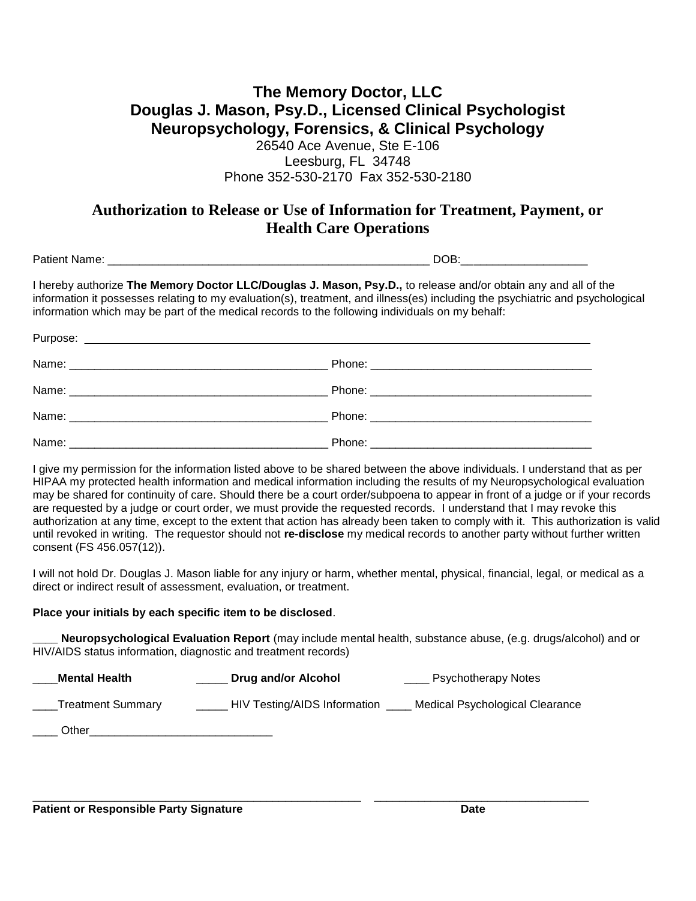### **The Memory Doctor, LLC Douglas J. Mason, Psy.D., Licensed Clinical Psychologist Neuropsychology, Forensics, & Clinical Psychology** 26540 Ace Avenue, Ste E-106

Leesburg, FL 34748 Phone 352-530-2170 Fax 352-530-2180

## **Authorization to Release or Use of Information for Treatment, Payment, or Health Care Operations**

| $\sim$ $\sim$<br>-- | <b>Service Controllers</b><br>--<br>н<br>-<br><br>__ |
|---------------------|------------------------------------------------------|
|---------------------|------------------------------------------------------|

I hereby authorize **The Memory Doctor LLC/Douglas J. Mason, Psy.D.,** to release and/or obtain any and all of the information it possesses relating to my evaluation(s), treatment, and illness(es) including the psychiatric and psychological information which may be part of the medical records to the following individuals on my behalf:

I give my permission for the information listed above to be shared between the above individuals. I understand that as per HIPAA my protected health information and medical information including the results of my Neuropsychological evaluation may be shared for continuity of care. Should there be a court order/subpoena to appear in front of a judge or if your records are requested by a judge or court order, we must provide the requested records. I understand that I may revoke this authorization at any time, except to the extent that action has already been taken to comply with it. This authorization is valid until revoked in writing. The requestor should not **re-disclose** my medical records to another party without further written consent (FS 456.057(12)).

I will not hold Dr. Douglas J. Mason liable for any injury or harm, whether mental, physical, financial, legal, or medical as a direct or indirect result of assessment, evaluation, or treatment.

#### **Place your initials by each specific item to be disclosed**.

**\_\_\_\_ Neuropsychological Evaluation Report** (may include mental health, substance abuse, (e.g. drugs/alcohol) and or HIV/AIDS status information, diagnostic and treatment records)

| <b>Mental Health</b> | Drug and/or Alcohol          | <b>Psychotherapy Notes</b>      |
|----------------------|------------------------------|---------------------------------|
| Treatment Summary    | HIV Testing/AIDS Information | Medical Psychological Clearance |
| Other                |                              |                                 |

\_\_\_\_\_\_\_\_\_\_\_\_\_\_\_\_\_\_\_\_\_\_\_\_\_\_\_\_\_\_\_\_\_\_\_\_\_\_\_\_\_\_\_\_\_\_\_\_\_\_\_\_ \_\_\_\_\_\_\_\_\_\_\_\_\_\_\_\_\_\_\_\_\_\_\_\_\_\_\_\_\_\_\_\_\_\_